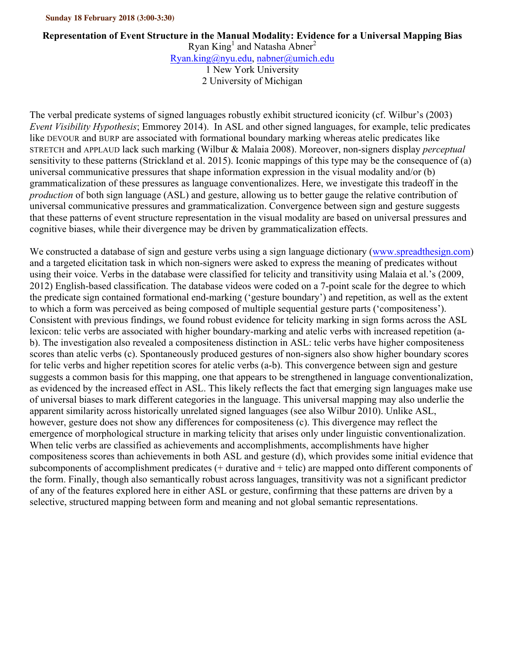## **Sunday 18 February 2018 (3:00-3:30)**

## **Representation of Event Structure in the Manual Modality: Evidence for a Universal Mapping Bias**

Ryan King<sup>1</sup> and Natasha Abner<sup>2</sup> Ryan.king@nyu.edu, nabner@umich.edu 1 New York University

2 University of Michigan

The verbal predicate systems of signed languages robustly exhibit structured iconicity (cf. Wilbur's (2003) *Event Visibility Hypothesis*; Emmorey 2014). In ASL and other signed languages, for example, telic predicates like DEVOUR and BURP are associated with formational boundary marking whereas atelic predicates like STRETCH and APPLAUD lack such marking (Wilbur & Malaia 2008). Moreover, non-signers display *perceptual* sensitivity to these patterns (Strickland et al. 2015). Iconic mappings of this type may be the consequence of (a) universal communicative pressures that shape information expression in the visual modality and/or (b) grammaticalization of these pressures as language conventionalizes. Here, we investigate this tradeoff in the *production* of both sign language (ASL) and gesture, allowing us to better gauge the relative contribution of universal communicative pressures and grammaticalization. Convergence between sign and gesture suggests that these patterns of event structure representation in the visual modality are based on universal pressures and cognitive biases, while their divergence may be driven by grammaticalization effects.

We constructed a database of sign and gesture verbs using a sign language dictionary (www.spreadthesign.com) and a targeted elicitation task in which non-signers were asked to express the meaning of predicates without using their voice. Verbs in the database were classified for telicity and transitivity using Malaia et al.'s (2009, 2012) English-based classification. The database videos were coded on a 7-point scale for the degree to which the predicate sign contained formational end-marking ('gesture boundary') and repetition, as well as the extent to which a form was perceived as being composed of multiple sequential gesture parts ('compositeness'). Consistent with previous findings, we found robust evidence for telicity marking in sign forms across the ASL lexicon: telic verbs are associated with higher boundary-marking and atelic verbs with increased repetition (ab). The investigation also revealed a compositeness distinction in ASL: telic verbs have higher compositeness scores than atelic verbs (c). Spontaneously produced gestures of non-signers also show higher boundary scores for telic verbs and higher repetition scores for atelic verbs (a-b). This convergence between sign and gesture suggests a common basis for this mapping, one that appears to be strengthened in language conventionalization, as evidenced by the increased effect in ASL. This likely reflects the fact that emerging sign languages make use of universal biases to mark different categories in the language. This universal mapping may also underlie the apparent similarity across historically unrelated signed languages (see also Wilbur 2010). Unlike ASL, however, gesture does not show any differences for compositeness (c). This divergence may reflect the emergence of morphological structure in marking telicity that arises only under linguistic conventionalization. When telic verbs are classified as achievements and accomplishments, accomplishments have higher compositeness scores than achievements in both ASL and gesture (d), which provides some initial evidence that subcomponents of accomplishment predicates (+ durative and + telic) are mapped onto different components of the form. Finally, though also semantically robust across languages, transitivity was not a significant predictor of any of the features explored here in either ASL or gesture, confirming that these patterns are driven by a selective, structured mapping between form and meaning and not global semantic representations.